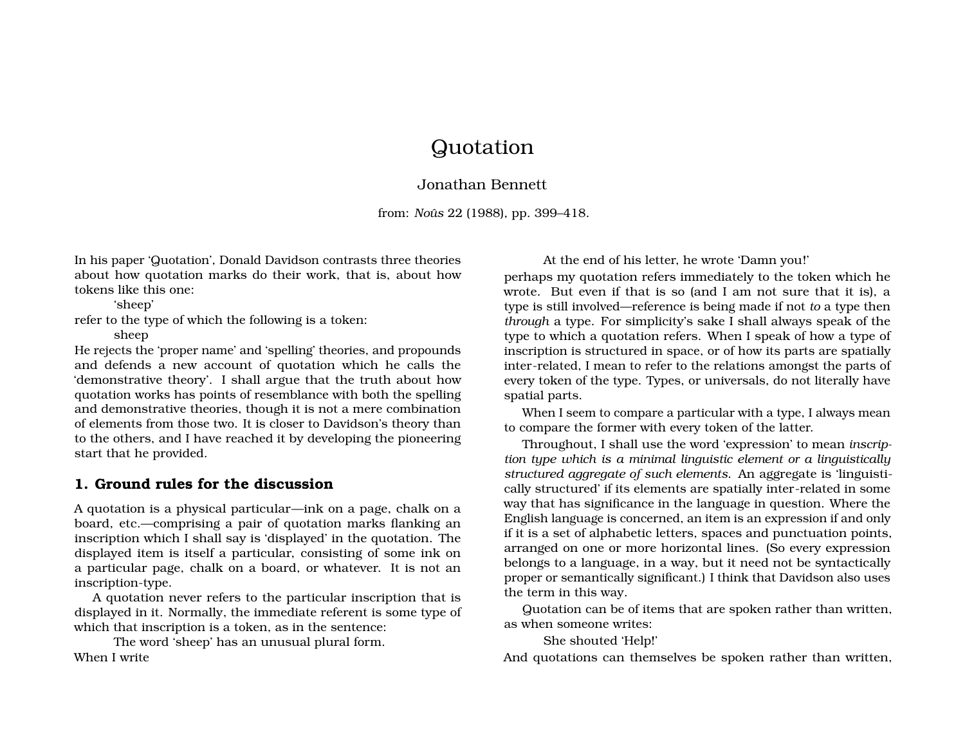# Quotation

#### Jonathan Bennett

from: *Noûs* 22 (1988), pp. 399–418.

In his paper 'Quotation', Donald Davidson contrasts three theories about how quotation marks do their work, that is, about how tokens like this one:

'sheep'

refer to the type of which the following is a token:

sheep

He rejects the 'proper name' and 'spelling' theories, and propounds and defends a new account of quotation which he calls the 'demonstrative theory'. I shall argue that the truth about how quotation works has points of resemblance with both the spelling and demonstrative theories, though it is not a mere combination of elements from those two. It is closer to Davidson's theory than to the others, and I have reached it by developing the pioneering start that he provided.

### **1. Ground rules for the discussion**

A quotation is a physical particular—ink on a page, chalk on a board, etc.—comprising a pair of quotation marks flanking an inscription which I shall say is 'displayed' in the quotation. The displayed item is itself a particular, consisting of some ink on a particular page, chalk on a board, or whatever. It is not an inscription-type.

A quotation never refers to the particular inscription that is displayed in it. Normally, the immediate referent is some type of which that inscription is a token, as in the sentence:

The word 'sheep' has an unusual plural form. When I write

At the end of his letter, he wrote 'Damn you!'

perhaps my quotation refers immediately to the token which he wrote. But even if that is so (and I am not sure that it is), a type is still involved—reference is being made if not *to* a type then *through* a type. For simplicity's sake I shall always speak of the type to which a quotation refers. When I speak of how a type of inscription is structured in space, or of how its parts are spatially inter-related, I mean to refer to the relations amongst the parts of every token of the type. Types, or universals, do not literally have spatial parts.

When I seem to compare a particular with a type, I always mean to compare the former with every token of the latter.

Throughout, I shall use the word 'expression' to mean *inscription type which is a minimal linguistic element or a linguistically structured aggregate of such elements*. An aggregate is 'linguistically structured' if its elements are spatially inter-related in some way that has significance in the language in question. Where the English language is concerned, an item is an expression if and only if it is a set of alphabetic letters, spaces and punctuation points, arranged on one or more horizontal lines. (So every expression belongs to a language, in a way, but it need not be syntactically proper or semantically significant.) I think that Davidson also uses the term in this way.

Quotation can be of items that are spoken rather than written, as when someone writes:

She shouted 'Help!'

And quotations can themselves be spoken rather than written,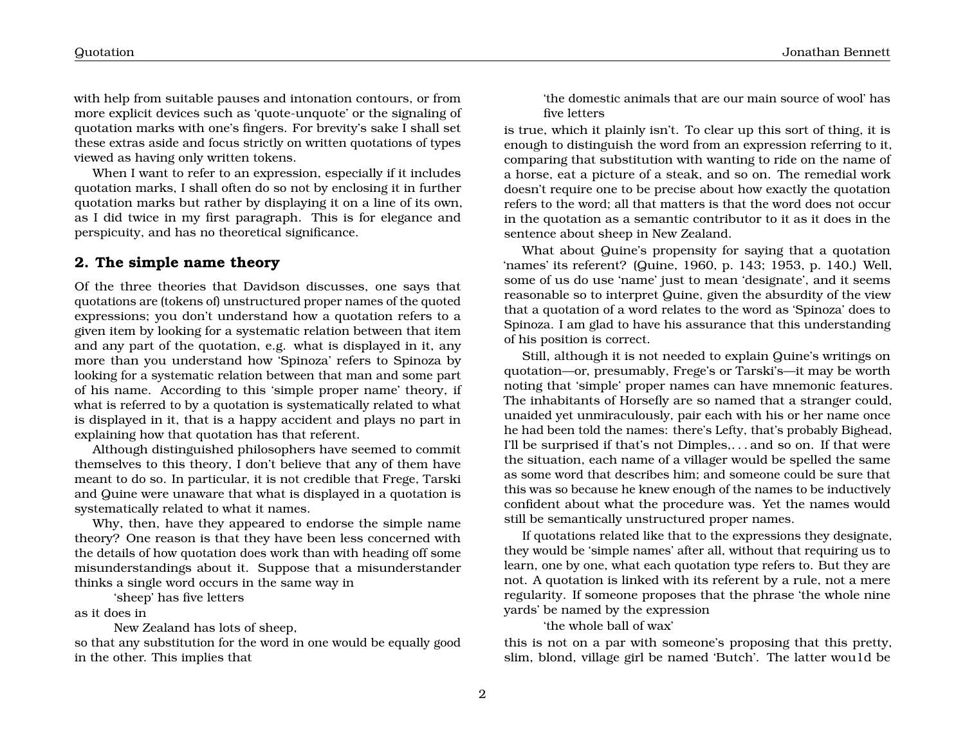with help from suitable pauses and intonation contours, or from more explicit devices such as 'quote-unquote' or the signaling of quotation marks with one's fingers. For brevity's sake I shall set these extras aside and focus strictly on written quotations of types viewed as having only written tokens.

When I want to refer to an expression, especially if it includes quotation marks, I shall often do so not by enclosing it in further quotation marks but rather by displaying it on a line of its own, as I did twice in my first paragraph. This is for elegance and perspicuity, and has no theoretical significance.

### **2. The simple name theory**

Of the three theories that Davidson discusses, one says that quotations are (tokens of) unstructured proper names of the quoted expressions; you don't understand how a quotation refers to a given item by looking for a systematic relation between that item and any part of the quotation, e.g. what is displayed in it, any more than you understand how 'Spinoza' refers to Spinoza by looking for a systematic relation between that man and some part of his name. According to this 'simple proper name' theory, if what is referred to by a quotation is systematically related to what is displayed in it, that is a happy accident and plays no part in explaining how that quotation has that referent.

Although distinguished philosophers have seemed to commit themselves to this theory, I don't believe that any of them have meant to do so. In particular, it is not credible that Frege, Tarski and Quine were unaware that what is displayed in a quotation is systematically related to what it names.

Why, then, have they appeared to endorse the simple name theory? One reason is that they have been less concerned with the details of how quotation does work than with heading off some misunderstandings about it. Suppose that a misunderstander thinks a single word occurs in the same way in

'sheep' has five letters

as it does in

New Zealand has lots of sheep,

so that any substitution for the word in one would be equally good in the other. This implies that

'the domestic animals that are our main source of wool' has five letters

is true, which it plainly isn't. To clear up this sort of thing, it is enough to distinguish the word from an expression referring to it, comparing that substitution with wanting to ride on the name of a horse, eat a picture of a steak, and so on. The remedial work doesn't require one to be precise about how exactly the quotation refers to the word; all that matters is that the word does not occur in the quotation as a semantic contributor to it as it does in the sentence about sheep in New Zealand.

What about Quine's propensity for saying that a quotation 'names' its referent? (Quine, 1960, p. 143; 1953, p. 140.) Well, some of us do use 'name' just to mean 'designate', and it seems reasonable so to interpret Quine, given the absurdity of the view that a quotation of a word relates to the word as 'Spinoza' does to Spinoza. I am glad to have his assurance that this understanding of his position is correct.

Still, although it is not needed to explain Quine's writings on quotation—or, presumably, Frege's or Tarski's—it may be worth noting that 'simple' proper names can have mnemonic features. The inhabitants of Horsefly are so named that a stranger could, unaided yet unmiraculously, pair each with his or her name once he had been told the names: there's Lefty, that's probably Bighead, I'll be surprised if that's not Dimples,. . . and so on. If that were the situation, each name of a villager would be spelled the same as some word that describes him; and someone could be sure that this was so because he knew enough of the names to be inductively confident about what the procedure was. Yet the names would still be semantically unstructured proper names.

If quotations related like that to the expressions they designate, they would be 'simple names' after all, without that requiring us to learn, one by one, what each quotation type refers to. But they are not. A quotation is linked with its referent by a rule, not a mere regularity. If someone proposes that the phrase 'the whole nine yards' be named by the expression

#### 'the whole ball of wax'

this is not on a par with someone's proposing that this pretty, slim, blond, village girl be named 'Butch'. The latter wou1d be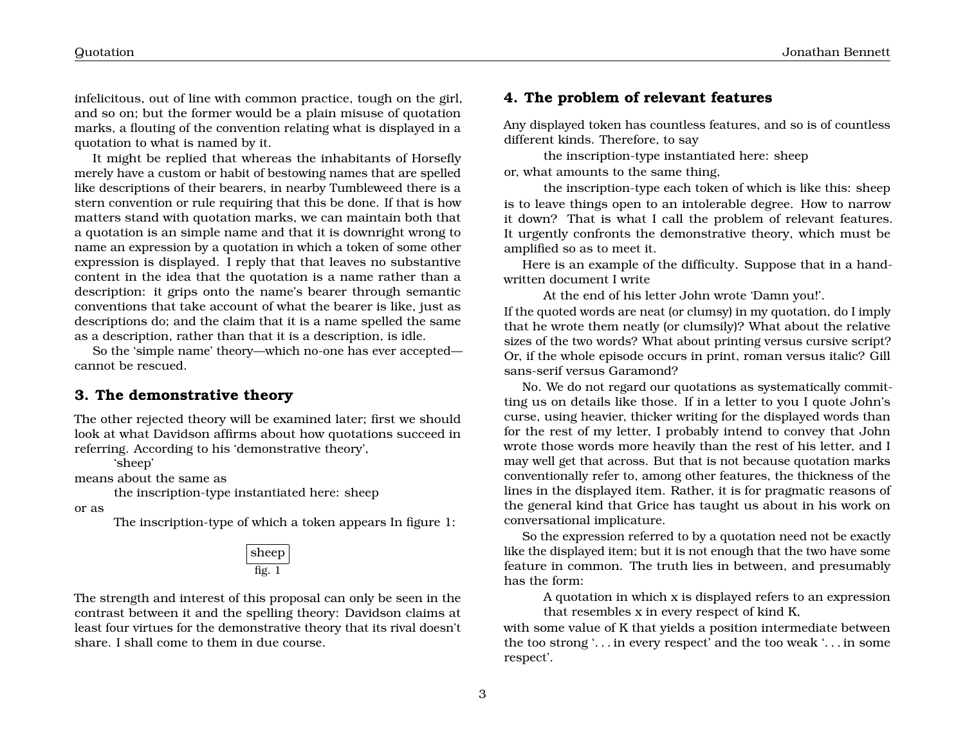infelicitous, out of line with common practice, tough on the girl, and so on; but the former would be a plain misuse of quotation marks, a flouting of the convention relating what is displayed in a quotation to what is named by it.

It might be replied that whereas the inhabitants of Horsefly merely have a custom or habit of bestowing names that are spelled like descriptions of their bearers, in nearby Tumbleweed there is a stern convention or rule requiring that this be done. If that is how matters stand with quotation marks, we can maintain both that a quotation is an simple name and that it is downright wrong to name an expression by a quotation in which a token of some other expression is displayed. I reply that that leaves no substantive content in the idea that the quotation is a name rather than a description: it grips onto the name's bearer through semantic conventions that take account of what the bearer is like, just as descriptions do; and the claim that it is a name spelled the same as a description, rather than that it is a description, is idle.

So the 'simple name' theory—which no-one has ever accepted cannot be rescued.

# **3. The demonstrative theory**

The other rejected theory will be examined later; first we should look at what Davidson affirms about how quotations succeed in referring. According to his 'demonstrative theory',

'sheep'

means about the same as

the inscription-type instantiated here: sheep

or as

The inscription-type of which a token appears In figure 1:



The strength and interest of this proposal can only be seen in the contrast between it and the spelling theory: Davidson claims at least four virtues for the demonstrative theory that its rival doesn't share. I shall come to them in due course.

#### **4. The problem of relevant features**

Any displayed token has countless features, and so is of countless different kinds. Therefore, to say

the inscription-type instantiated here: sheep or, what amounts to the same thing,

the inscription-type each token of which is like this: sheep is to leave things open to an intolerable degree. How to narrow it down? That is what I call the problem of relevant features. It urgently confronts the demonstrative theory, which must be amplified so as to meet it.

Here is an example of the difficulty. Suppose that in a handwritten document I write

At the end of his letter John wrote 'Damn you!'. If the quoted words are neat (or clumsy) in my quotation, do I imply that he wrote them neatly (or clumsily)? What about the relative sizes of the two words? What about printing versus cursive script? Or, if the whole episode occurs in print, roman versus italic? Gill sans-serif versus Garamond?

No. We do not regard our quotations as systematically committing us on details like those. If in a letter to you I quote John's curse, using heavier, thicker writing for the displayed words than for the rest of my letter, I probably intend to convey that John wrote those words more heavily than the rest of his letter, and I may well get that across. But that is not because quotation marks conventionally refer to, among other features, the thickness of the lines in the displayed item. Rather, it is for pragmatic reasons of the general kind that Grice has taught us about in his work on conversational implicature.

So the expression referred to by a quotation need not be exactly like the displayed item; but it is not enough that the two have some feature in common. The truth lies in between, and presumably has the form:

A quotation in which x is displayed refers to an expression that resembles x in every respect of kind K,

with some value of K that yields a position intermediate between the too strong '. . . in every respect' and the too weak '. . . in some respect'.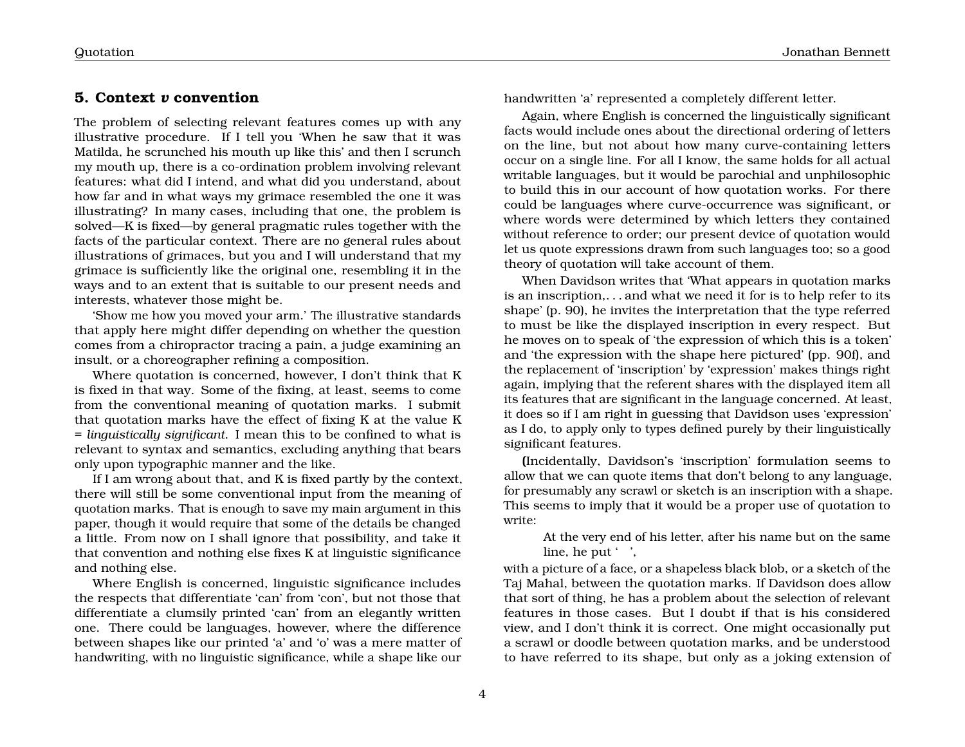#### **5. Context** *v* **convention**

The problem of selecting relevant features comes up with any illustrative procedure. If I tell you 'When he saw that it was Matilda, he scrunched his mouth up like this' and then I scrunch my mouth up, there is a co-ordination problem involving relevant features: what did I intend, and what did you understand, about how far and in what ways my grimace resembled the one it was illustrating? In many cases, including that one, the problem is solved—K is fixed—by general pragmatic rules together with the facts of the particular context. There are no general rules about illustrations of grimaces, but you and I will understand that my grimace is sufficiently like the original one, resembling it in the ways and to an extent that is suitable to our present needs and interests, whatever those might be.

'Show me how you moved your arm.' The illustrative standards that apply here might differ depending on whether the question comes from a chiropractor tracing a pain, a judge examining an insult, or a choreographer refining a composition.

Where quotation is concerned, however, I don't think that K is fixed in that way. Some of the fixing, at least, seems to come from the conventional meaning of quotation marks. I submit that quotation marks have the effect of fixing K at the value K = *linguistically significant*. I mean this to be confined to what is relevant to syntax and semantics, excluding anything that bears only upon typographic manner and the like.

If I am wrong about that, and K is fixed partly by the context, there will still be some conventional input from the meaning of quotation marks. That is enough to save my main argument in this paper, though it would require that some of the details be changed a little. From now on I shall ignore that possibility, and take it that convention and nothing else fixes K at linguistic significance and nothing else.

Where English is concerned, linguistic significance includes the respects that differentiate 'can' from 'con', but not those that differentiate a clumsily printed 'can' from an elegantly written one. There could be languages, however, where the difference between shapes like our printed 'a' and 'o' was a mere matter of handwriting, with no linguistic significance, while a shape like our

handwritten 'a' represented a completely different letter.

Again, where English is concerned the linguistically significant facts would include ones about the directional ordering of letters on the line, but not about how many curve-containing letters occur on a single line. For all I know, the same holds for all actual writable languages, but it would be parochial and unphilosophic to build this in our account of how quotation works. For there could be languages where curve-occurrence was significant, or where words were determined by which letters they contained without reference to order; our present device of quotation would let us quote expressions drawn from such languages too; so a good theory of quotation will take account of them.

When Davidson writes that 'What appears in quotation marks is an inscription,. . . and what we need it for is to help refer to its shape' (p. 90), he invites the interpretation that the type referred to must be like the displayed inscription in every respect. But he moves on to speak of 'the expression of which this is a token' and 'the expression with the shape here pictured' (pp. 90f), and the replacement of 'inscription' by 'expression' makes things right again, implying that the referent shares with the displayed item all its features that are significant in the language concerned. At least, it does so if I am right in guessing that Davidson uses 'expression' as I do, to apply only to types defined purely by their linguistically significant features.

**(**Incidentally, Davidson's 'inscription' formulation seems to allow that we can quote items that don't belong to any language, for presumably any scrawl or sketch is an inscription with a shape. This seems to imply that it would be a proper use of quotation to write:

At the very end of his letter, after his name but on the same line, he put ' $\cdot$ ,

with a picture of a face, or a shapeless black blob, or a sketch of the Taj Mahal, between the quotation marks. If Davidson does allow that sort of thing, he has a problem about the selection of relevant features in those cases. But I doubt if that is his considered view, and I don't think it is correct. One might occasionally put a scrawl or doodle between quotation marks, and be understood to have referred to its shape, but only as a joking extension of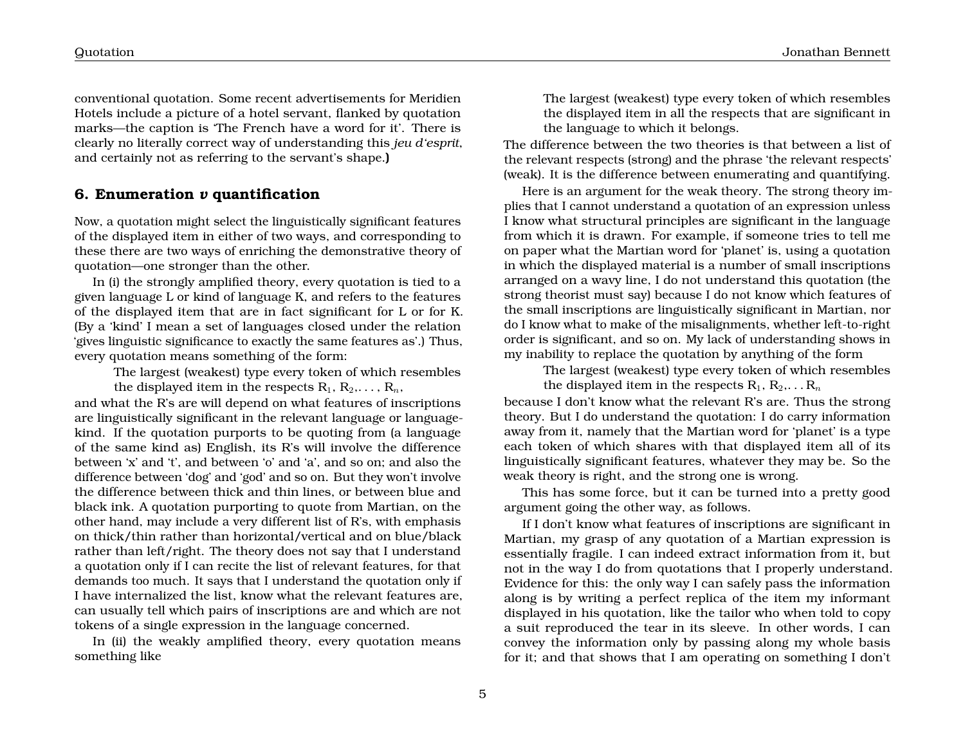conventional quotation. Some recent advertisements for Meridien Hotels include a picture of a hotel servant, flanked by quotation marks—the caption is 'The French have a word for it'. There is clearly no literally correct way of understanding this *jeu d'esprit*, and certainly not as referring to the servant's shape.**)**

#### **6. Enumeration** *v* **quantification**

Now, a quotation might select the linguistically significant features of the displayed item in either of two ways, and corresponding to these there are two ways of enriching the demonstrative theory of quotation—one stronger than the other.

In (i) the strongly amplified theory, every quotation is tied to a given language L or kind of language K, and refers to the features of the displayed item that are in fact significant for L or for K. (By a 'kind' I mean a set of languages closed under the relation 'gives linguistic significance to exactly the same features as'.) Thus, every quotation means something of the form:

The largest (weakest) type every token of which resembles the displayed item in the respects  $R_1, R_2, \ldots, R_n$ ,

and what the R's are will depend on what features of inscriptions are linguistically significant in the relevant language or languagekind. If the quotation purports to be quoting from (a language of the same kind as) English, its R's will involve the difference between 'x' and 't', and between 'o' and 'a', and so on; and also the difference between 'dog' and 'god' and so on. But they won't involve the difference between thick and thin lines, or between blue and black ink. A quotation purporting to quote from Martian, on the other hand, may include a very different list of R's, with emphasis on thick/thin rather than horizontal/vertical and on blue/black rather than left/right. The theory does not say that I understand a quotation only if I can recite the list of relevant features, for that demands too much. It says that I understand the quotation only if I have internalized the list, know what the relevant features are, can usually tell which pairs of inscriptions are and which are not tokens of a single expression in the language concerned.

In (ii) the weakly amplified theory, every quotation means something like

The largest (weakest) type every token of which resembles the displayed item in all the respects that are significant in the language to which it belongs.

The difference between the two theories is that between a list of the relevant respects (strong) and the phrase 'the relevant respects' (weak). It is the difference between enumerating and quantifying.

Here is an argument for the weak theory. The strong theory implies that I cannot understand a quotation of an expression unless I know what structural principles are significant in the language from which it is drawn. For example, if someone tries to tell me on paper what the Martian word for 'planet' is, using a quotation in which the displayed material is a number of small inscriptions arranged on a wavy line, I do not understand this quotation (the strong theorist must say) because I do not know which features of the small inscriptions are linguistically significant in Martian, nor do I know what to make of the misalignments, whether left-to-right order is significant, and so on. My lack of understanding shows in my inability to replace the quotation by anything of the form

The largest (weakest) type every token of which resembles the displayed item in the respects  $R_1, R_2,..., R_n$ 

because I don't know what the relevant R's are. Thus the strong theory. But I do understand the quotation: I do carry information away from it, namely that the Martian word for 'planet' is a type each token of which shares with that displayed item all of its linguistically significant features, whatever they may be. So the weak theory is right, and the strong one is wrong.

This has some force, but it can be turned into a pretty good argument going the other way, as follows.

If I don't know what features of inscriptions are significant in Martian, my grasp of any quotation of a Martian expression is essentially fragile. I can indeed extract information from it, but not in the way I do from quotations that I properly understand. Evidence for this: the only way I can safely pass the information along is by writing a perfect replica of the item my informant displayed in his quotation, like the tailor who when told to copy a suit reproduced the tear in its sleeve. In other words, I can convey the information only by passing along my whole basis for it; and that shows that I am operating on something I don't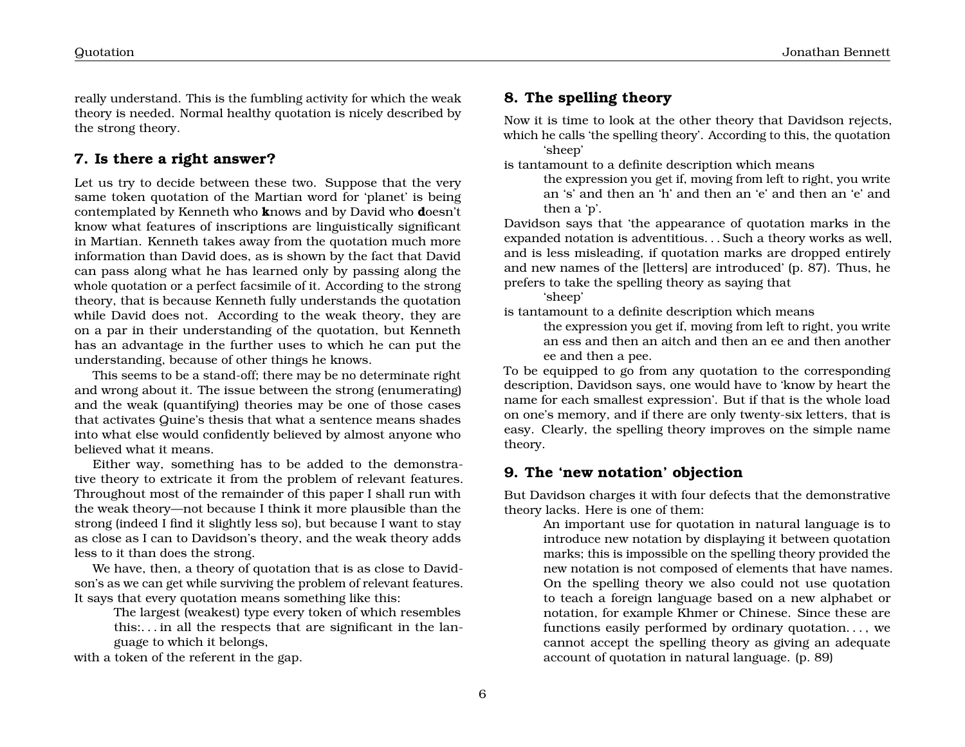really understand. This is the fumbling activity for which the weak theory is needed. Normal healthy quotation is nicely described by the strong theory.

# **7. Is there a right answer?**

Let us try to decide between these two. Suppose that the very same token quotation of the Martian word for 'planet' is being contemplated by Kenneth who **k**nows and by David who **d**oesn't know what features of inscriptions are linguistically significant in Martian. Kenneth takes away from the quotation much more information than David does, as is shown by the fact that David can pass along what he has learned only by passing along the whole quotation or a perfect facsimile of it. According to the strong theory, that is because Kenneth fully understands the quotation while David does not. According to the weak theory, they are on a par in their understanding of the quotation, but Kenneth has an advantage in the further uses to which he can put the understanding, because of other things he knows.

This seems to be a stand-off; there may be no determinate right and wrong about it. The issue between the strong (enumerating) and the weak (quantifying) theories may be one of those cases that activates Quine's thesis that what a sentence means shades into what else would confidently believed by almost anyone who believed what it means.

Either way, something has to be added to the demonstrative theory to extricate it from the problem of relevant features. Throughout most of the remainder of this paper I shall run with the weak theory—not because I think it more plausible than the strong (indeed I find it slightly less so), but because I want to stay as close as I can to Davidson's theory, and the weak theory adds less to it than does the strong.

We have, then, a theory of quotation that is as close to Davidson's as we can get while surviving the problem of relevant features. It says that every quotation means something like this:

The largest (weakest) type every token of which resembles this:. . . in all the respects that are significant in the language to which it belongs,

with a token of the referent in the gap.

# **8. The spelling theory**

Now it is time to look at the other theory that Davidson rejects, which he calls 'the spelling theory'. According to this, the quotation 'sheep'

is tantamount to a definite description which means

the expression you get if, moving from left to right, you write an 's' and then an 'h' and then an 'e' and then an 'e' and then a 'p'.

Davidson says that 'the appearance of quotation marks in the expanded notation is adventitious. . . Such a theory works as well, and is less misleading, if quotation marks are dropped entirely and new names of the [letters] are introduced' (p. 87). Thus, he prefers to take the spelling theory as saying that

'sheep'

is tantamount to a definite description which means

the expression you get if, moving from left to right, you write an ess and then an aitch and then an ee and then another ee and then a pee.

To be equipped to go from any quotation to the corresponding description, Davidson says, one would have to 'know by heart the name for each smallest expression'. But if that is the whole load on one's memory, and if there are only twenty-six letters, that is easy. Clearly, the spelling theory improves on the simple name theory.

# **9. The 'new notation' objection**

But Davidson charges it with four defects that the demonstrative theory lacks. Here is one of them:

An important use for quotation in natural language is to introduce new notation by displaying it between quotation marks; this is impossible on the spelling theory provided the new notation is not composed of elements that have names. On the spelling theory we also could not use quotation to teach a foreign language based on a new alphabet or notation, for example Khmer or Chinese. Since these are functions easily performed by ordinary quotation. . . , we cannot accept the spelling theory as giving an adequate account of quotation in natural language. (p. 89)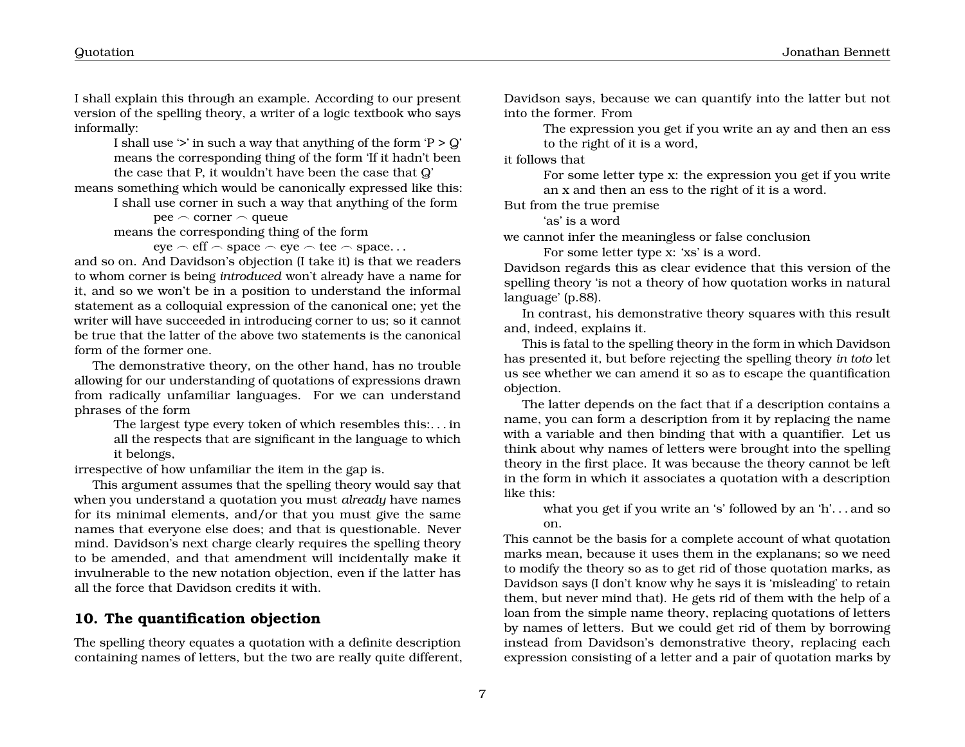I shall explain this through an example. According to our present version of the spelling theory, a writer of a logic textbook who says informally:

I shall use ' $>$ ' in such a way that anything of the form 'P  $> Q$ ' means the corresponding thing of the form 'If it hadn't been the case that P, it wouldn't have been the case that Q'

means something which would be canonically expressed like this:

I shall use corner in such a way that anything of the form pee  $\frown$  corner  $\frown$  queue

means the corresponding thing of the form

 $e$  eye  $\sim$  eff  $\sim$  space  $\sim$  eye  $\sim$  tee  $\sim$  space...

and so on. And Davidson's objection (I take it) is that we readers to whom corner is being *introduced* won't already have a name for it, and so we won't be in a position to understand the informal statement as a colloquial expression of the canonical one; yet the writer will have succeeded in introducing corner to us; so it cannot be true that the latter of the above two statements is the canonical form of the former one.

The demonstrative theory, on the other hand, has no trouble allowing for our understanding of quotations of expressions drawn from radically unfamiliar languages. For we can understand phrases of the form

> The largest type every token of which resembles this:. . . in all the respects that are significant in the language to which it belongs,

irrespective of how unfamiliar the item in the gap is.

This argument assumes that the spelling theory would say that when you understand a quotation you must *already* have names for its minimal elements, and/or that you must give the same names that everyone else does; and that is questionable. Never mind. Davidson's next charge clearly requires the spelling theory to be amended, and that amendment will incidentally make it invulnerable to the new notation objection, even if the latter has all the force that Davidson credits it with.

# **10. The quantification objection**

The spelling theory equates a quotation with a definite description containing names of letters, but the two are really quite different, Davidson says, because we can quantify into the latter but not into the former. From

The expression you get if you write an ay and then an ess to the right of it is a word,

it follows that

For some letter type x: the expression you get if you write an x and then an ess to the right of it is a word.

But from the true premise

'as' is a word

we cannot infer the meaningless or false conclusion

For some letter type x: 'xs' is a word.

Davidson regards this as clear evidence that this version of the spelling theory 'is not a theory of how quotation works in natural language' (p.88).

In contrast, his demonstrative theory squares with this result and, indeed, explains it.

This is fatal to the spelling theory in the form in which Davidson has presented it, but before rejecting the spelling theory *in toto* let us see whether we can amend it so as to escape the quantification objection.

The latter depends on the fact that if a description contains a name, you can form a description from it by replacing the name with a variable and then binding that with a quantifier. Let us think about why names of letters were brought into the spelling theory in the first place. It was because the theory cannot be left in the form in which it associates a quotation with a description like this:

what you get if you write an 's' followed by an 'h'. . . and so on.

This cannot be the basis for a complete account of what quotation marks mean, because it uses them in the explanans; so we need to modify the theory so as to get rid of those quotation marks, as Davidson says (I don't know why he says it is 'misleading' to retain them, but never mind that). He gets rid of them with the help of a loan from the simple name theory, replacing quotations of letters by names of letters. But we could get rid of them by borrowing instead from Davidson's demonstrative theory, replacing each expression consisting of a letter and a pair of quotation marks by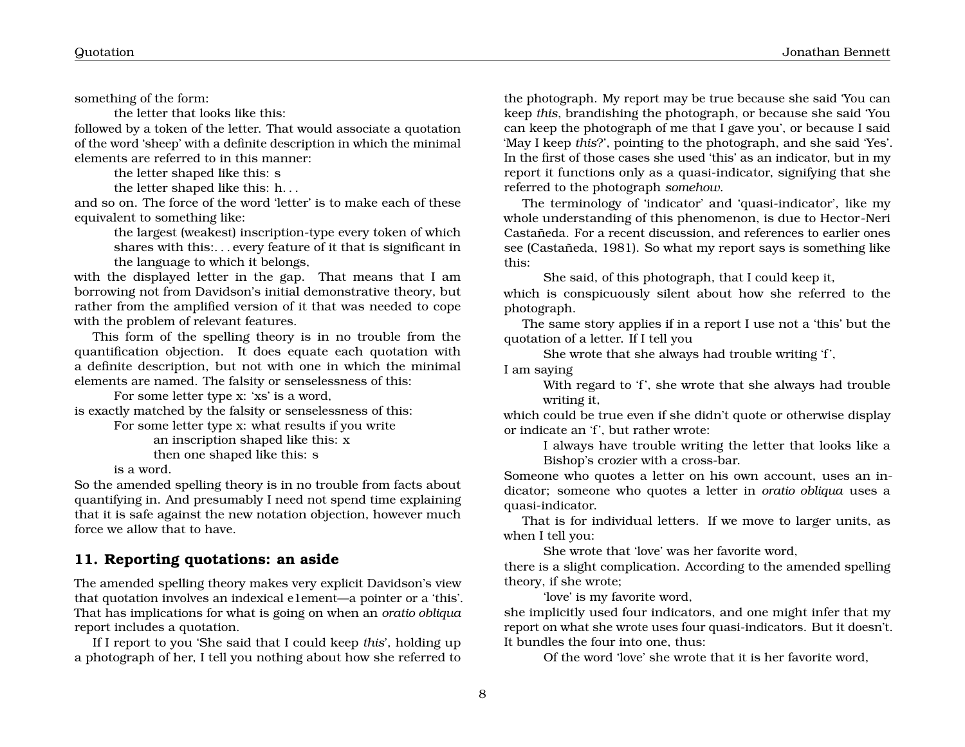something of the form:

the letter that looks like this:

followed by a token of the letter. That would associate a quotation of the word 'sheep' with a definite description in which the minimal elements are referred to in this manner:

the letter shaped like this: s

the letter shaped like this: h. . .

and so on. The force of the word 'letter' is to make each of these equivalent to something like:

the largest (weakest) inscription-type every token of which shares with this:. . . every feature of it that is significant in the language to which it belongs,

with the displayed letter in the gap. That means that I am borrowing not from Davidson's initial demonstrative theory, but rather from the amplified version of it that was needed to cope with the problem of relevant features.

This form of the spelling theory is in no trouble from the quantification objection. It does equate each quotation with a definite description, but not with one in which the minimal elements are named. The falsity or senselessness of this:

For some letter type x: 'xs' is a word, is exactly matched by the falsity or senselessness of this: For some letter type x: what results if you write

an inscription shaped like this: x

then one shaped like this: s

is a word.

So the amended spelling theory is in no trouble from facts about quantifying in. And presumably I need not spend time explaining that it is safe against the new notation objection, however much force we allow that to have.

# **11. Reporting quotations: an aside**

The amended spelling theory makes very explicit Davidson's view that quotation involves an indexical e1ement—a pointer or a 'this'. That has implications for what is going on when an *oratio obliqua* report includes a quotation.

If I report to you 'She said that I could keep *this*', holding up a photograph of her, I tell you nothing about how she referred to

the photograph. My report may be true because she said 'You can keep *this*, brandishing the photograph, or because she said 'You can keep the photograph of me that I gave you', or because I said 'May I keep *this*?', pointing to the photograph, and she said 'Yes'. In the first of those cases she used 'this' as an indicator, but in my report it functions only as a quasi-indicator, signifying that she referred to the photograph *somehow*.

The terminology of 'indicator' and 'quasi-indicator', like my whole understanding of this phenomenon, is due to Hector-Neri Castañeda. For a recent discussion, and references to earlier ones see (Castañeda, 1981). So what my report says is something like this:

She said, of this photograph, that I could keep it,

which is conspicuously silent about how she referred to the photograph.

The same story applies if in a report I use not a 'this' but the quotation of a letter. If I tell you

She wrote that she always had trouble writing 'f',

I am saying

With regard to 'f', she wrote that she always had trouble writing it,

which could be true even if she didn't quote or otherwise display or indicate an 'f ', but rather wrote:

I always have trouble writing the letter that looks like a Bishop's crozier with a cross-bar.

Someone who quotes a letter on his own account, uses an indicator; someone who quotes a letter in *oratio obliqua* uses a quasi-indicator.

That is for individual letters. If we move to larger units, as when I tell you:

She wrote that 'love' was her favorite word,

there is a slight complication. According to the amended spelling theory, if she wrote;

'love' is my favorite word,

she implicitly used four indicators, and one might infer that my report on what she wrote uses four quasi-indicators. But it doesn't. It bundles the four into one, thus:

Of the word 'love' she wrote that it is her favorite word,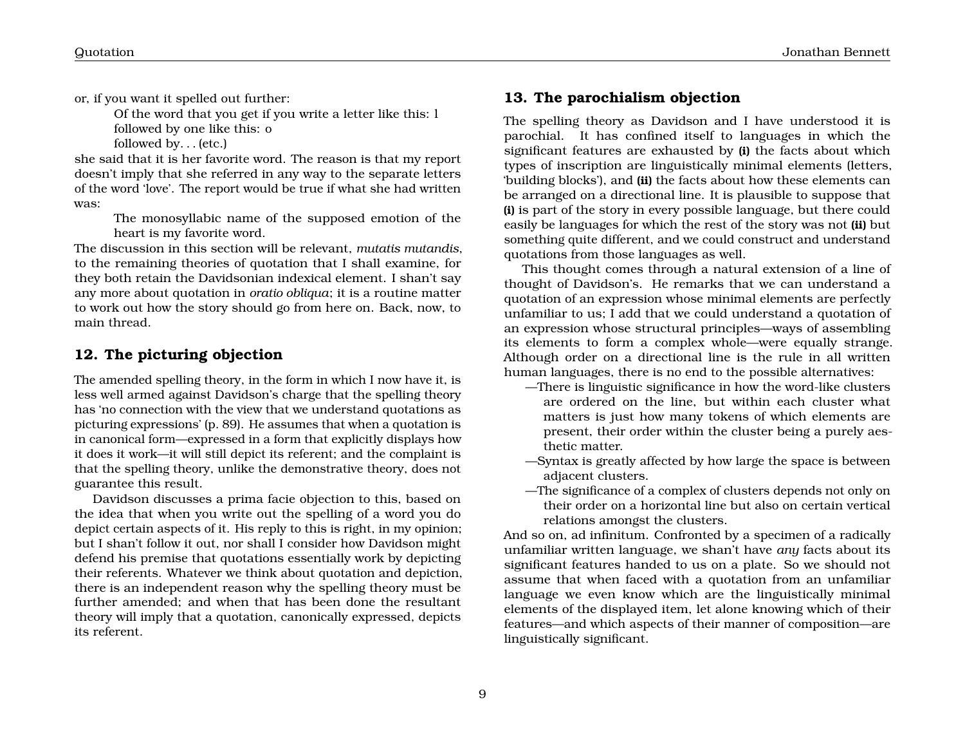or, if you want it spelled out further:

Of the word that you get if you write a letter like this: l followed by one like this: o

followed by. . . (etc.)

she said that it is her favorite word. The reason is that my report doesn't imply that she referred in any way to the separate letters of the word 'love'. The report would be true if what she had written was:

> The monosyllabic name of the supposed emotion of the heart is my favorite word.

The discussion in this section will be relevant, *mutatis mutandis*, to the remaining theories of quotation that I shall examine, for they both retain the Davidsonian indexical element. I shan't say any more about quotation in *oratio obliqua*; it is a routine matter to work out how the story should go from here on. Back, now, to main thread.

# **12. The picturing objection**

The amended spelling theory, in the form in which I now have it, is less well armed against Davidson's charge that the spelling theory has 'no connection with the view that we understand quotations as picturing expressions' (p. 89). He assumes that when a quotation is in canonical form—expressed in a form that explicitly displays how it does it work—it will still depict its referent; and the complaint is that the spelling theory, unlike the demonstrative theory, does not guarantee this result.

Davidson discusses a prima facie objection to this, based on the idea that when you write out the spelling of a word you do depict certain aspects of it. His reply to this is right, in my opinion; but I shan't follow it out, nor shall I consider how Davidson might defend his premise that quotations essentially work by depicting their referents. Whatever we think about quotation and depiction, there is an independent reason why the spelling theory must be further amended; and when that has been done the resultant theory will imply that a quotation, canonically expressed, depicts its referent.

### **13. The parochialism objection**

The spelling theory as Davidson and I have understood it is parochial. It has confined itself to languages in which the significant features are exhausted by **(i)** the facts about which types of inscription are linguistically minimal elements (letters, 'building blocks'), and **(ii)** the facts about how these elements can be arranged on a directional line. It is plausible to suppose that **(i)** is part of the story in every possible language, but there could easily be languages for which the rest of the story was not **(ii)** but something quite different, and we could construct and understand quotations from those languages as well.

This thought comes through a natural extension of a line of thought of Davidson's. He remarks that we can understand a quotation of an expression whose minimal elements are perfectly unfamiliar to us; I add that we could understand a quotation of an expression whose structural principles—ways of assembling its elements to form a complex whole—were equally strange. Although order on a directional line is the rule in all written human languages, there is no end to the possible alternatives:

- —There is linguistic significance in how the word-like clusters are ordered on the line, but within each cluster what matters is just how many tokens of which elements are present, their order within the cluster being a purely aesthetic matter.
- —Syntax is greatly affected by how large the space is between adjacent clusters.
- —The significance of a complex of clusters depends not only on their order on a horizontal line but also on certain vertical relations amongst the clusters.

And so on, ad infinitum. Confronted by a specimen of a radically unfamiliar written language, we shan't have *any* facts about its significant features handed to us on a plate. So we should not assume that when faced with a quotation from an unfamiliar language we even know which are the linguistically minimal elements of the displayed item, let alone knowing which of their features—and which aspects of their manner of composition—are linguistically significant.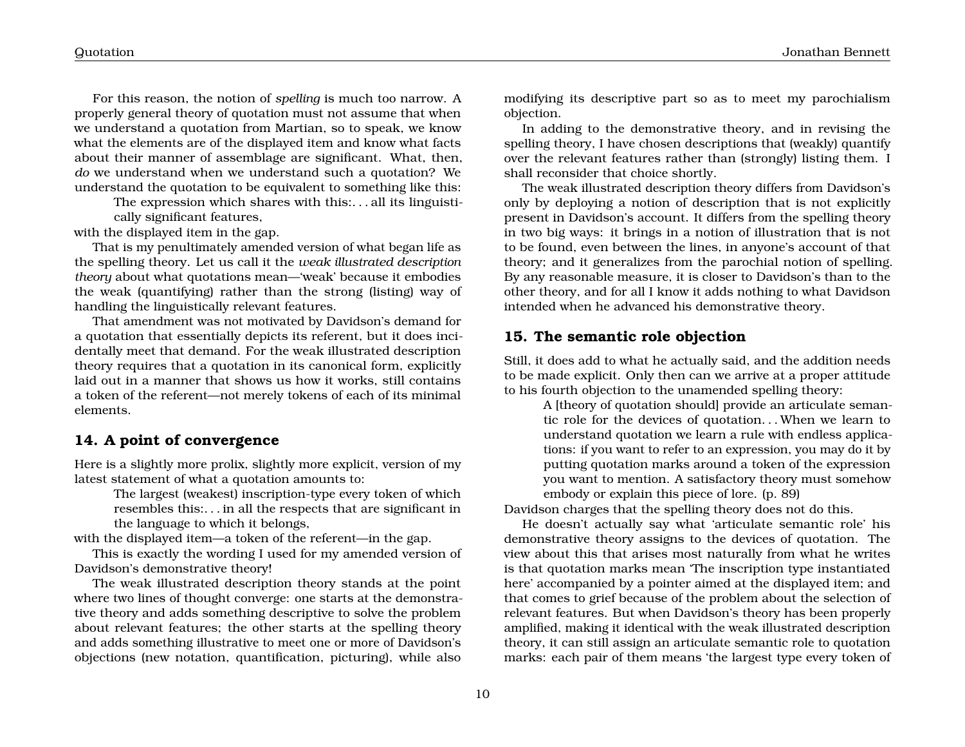For this reason, the notion of *spelling* is much too narrow. A properly general theory of quotation must not assume that when we understand a quotation from Martian, so to speak, we know what the elements are of the displayed item and know what facts about their manner of assemblage are significant. What, then, *do* we understand when we understand such a quotation? We understand the quotation to be equivalent to something like this:

The expression which shares with this:. . . all its linguistically significant features,

with the displayed item in the gap.

That is my penultimately amended version of what began life as the spelling theory. Let us call it the *weak illustrated description theory* about what quotations mean—'weak' because it embodies the weak (quantifying) rather than the strong (listing) way of handling the linguistically relevant features.

That amendment was not motivated by Davidson's demand for a quotation that essentially depicts its referent, but it does incidentally meet that demand. For the weak illustrated description theory requires that a quotation in its canonical form, explicitly laid out in a manner that shows us how it works, still contains a token of the referent—not merely tokens of each of its minimal elements.

# **14. A point of convergence**

Here is a slightly more prolix, slightly more explicit, version of my latest statement of what a quotation amounts to:

The largest (weakest) inscription-type every token of which resembles this:. . . in all the respects that are significant in the language to which it belongs,

with the displayed item—a token of the referent—in the gap.

This is exactly the wording I used for my amended version of Davidson's demonstrative theory!

The weak illustrated description theory stands at the point where two lines of thought converge: one starts at the demonstrative theory and adds something descriptive to solve the problem about relevant features; the other starts at the spelling theory and adds something illustrative to meet one or more of Davidson's objections (new notation, quantification, picturing), while also

modifying its descriptive part so as to meet my parochialism objection.

In adding to the demonstrative theory, and in revising the spelling theory, I have chosen descriptions that (weakly) quantify over the relevant features rather than (strongly) listing them. I shall reconsider that choice shortly.

The weak illustrated description theory differs from Davidson's only by deploying a notion of description that is not explicitly present in Davidson's account. It differs from the spelling theory in two big ways: it brings in a notion of illustration that is not to be found, even between the lines, in anyone's account of that theory; and it generalizes from the parochial notion of spelling. By any reasonable measure, it is closer to Davidson's than to the other theory, and for all I know it adds nothing to what Davidson intended when he advanced his demonstrative theory.

### **15. The semantic role objection**

Still, it does add to what he actually said, and the addition needs to be made explicit. Only then can we arrive at a proper attitude to his fourth objection to the unamended spelling theory:

A [theory of quotation should] provide an articulate semantic role for the devices of quotation. . . When we learn to understand quotation we learn a rule with endless applications: if you want to refer to an expression, you may do it by putting quotation marks around a token of the expression you want to mention. A satisfactory theory must somehow embody or explain this piece of lore. (p. 89)

Davidson charges that the spelling theory does not do this.

He doesn't actually say what 'articulate semantic role' his demonstrative theory assigns to the devices of quotation. The view about this that arises most naturally from what he writes is that quotation marks mean 'The inscription type instantiated here' accompanied by a pointer aimed at the displayed item; and that comes to grief because of the problem about the selection of relevant features. But when Davidson's theory has been properly amplified, making it identical with the weak illustrated description theory, it can still assign an articulate semantic role to quotation marks: each pair of them means 'the largest type every token of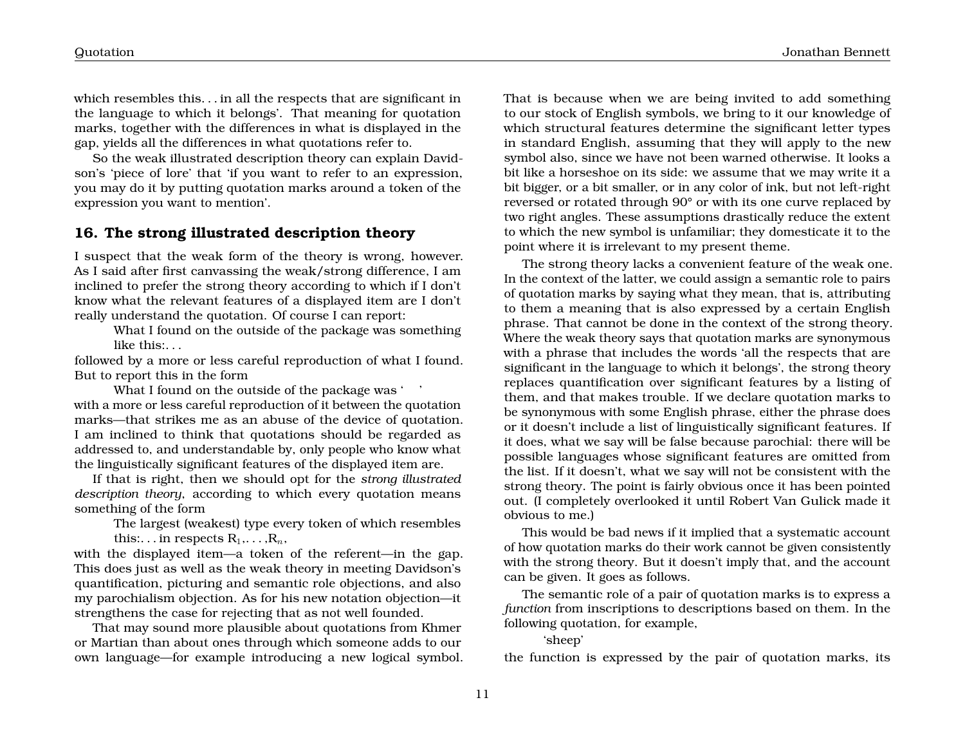Quotation Jonathan Bennett

which resembles this. . . in all the respects that are significant in the language to which it belongs'. That meaning for quotation marks, together with the differences in what is displayed in the gap, yields all the differences in what quotations refer to.

So the weak illustrated description theory can explain Davidson's 'piece of lore' that 'if you want to refer to an expression, you may do it by putting quotation marks around a token of the expression you want to mention'.

### **16. The strong illustrated description theory**

I suspect that the weak form of the theory is wrong, however. As I said after first canvassing the weak/strong difference, I am inclined to prefer the strong theory according to which if I don't know what the relevant features of a displayed item are I don't really understand the quotation. Of course I can report:

What I found on the outside of the package was something like this:. . .

followed by a more or less careful reproduction of what I found. But to report this in the form

What I found on the outside of the package was ' ' with a more or less careful reproduction of it between the quotation marks—that strikes me as an abuse of the device of quotation. I am inclined to think that quotations should be regarded as addressed to, and understandable by, only people who know what the linguistically significant features of the displayed item are.

If that is right, then we should opt for the *strong illustrated description theory*, according to which every quotation means something of the form

The largest (weakest) type every token of which resembles this:... in respects  $R_1, \ldots, R_n$ ,

with the displayed item—a token of the referent—in the gap. This does just as well as the weak theory in meeting Davidson's quantification, picturing and semantic role objections, and also my parochialism objection. As for his new notation objection—it strengthens the case for rejecting that as not well founded.

That may sound more plausible about quotations from Khmer or Martian than about ones through which someone adds to our own language—for example introducing a new logical symbol.

That is because when we are being invited to add something to our stock of English symbols, we bring to it our knowledge of which structural features determine the significant letter types in standard English, assuming that they will apply to the new symbol also, since we have not been warned otherwise. It looks a bit like a horseshoe on its side: we assume that we may write it a bit bigger, or a bit smaller, or in any color of ink, but not left-right reversed or rotated through 90° or with its one curve replaced by two right angles. These assumptions drastically reduce the extent to which the new symbol is unfamiliar; they domesticate it to the point where it is irrelevant to my present theme.

The strong theory lacks a convenient feature of the weak one. In the context of the latter, we could assign a semantic role to pairs of quotation marks by saying what they mean, that is, attributing to them a meaning that is also expressed by a certain English phrase. That cannot be done in the context of the strong theory. Where the weak theory says that quotation marks are synonymous with a phrase that includes the words 'all the respects that are significant in the language to which it belongs', the strong theory replaces quantification over significant features by a listing of them, and that makes trouble. If we declare quotation marks to be synonymous with some English phrase, either the phrase does or it doesn't include a list of linguistically significant features. If it does, what we say will be false because parochial: there will be possible languages whose significant features are omitted from the list. If it doesn't, what we say will not be consistent with the strong theory. The point is fairly obvious once it has been pointed out. (I completely overlooked it until Robert Van Gulick made it obvious to me.)

This would be bad news if it implied that a systematic account of how quotation marks do their work cannot be given consistently with the strong theory. But it doesn't imply that, and the account can be given. It goes as follows.

The semantic role of a pair of quotation marks is to express a *function* from inscriptions to descriptions based on them. In the following quotation, for example,

'sheep'

the function is expressed by the pair of quotation marks, its